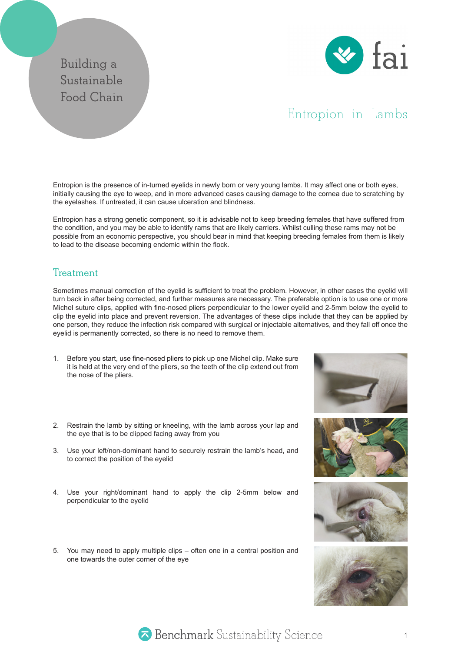## **Building a Sustainable Food Chain**



## Entropion in Lambs

Entropion is the presence of in-turned eyelids in newly born or very young lambs. It may affect one or both eyes, initially causing the eye to weep, and in more advanced cases causing damage to the cornea due to scratching by the eyelashes. If untreated, it can cause ulceration and blindness.

Entropion has a strong genetic component, so it is advisable not to keep breeding females that have suffered from the condition, and you may be able to identify rams that are likely carriers. Whilst culling these rams may not be possible from an economic perspective, you should bear in mind that keeping breeding females from them is likely to lead to the disease becoming endemic within the flock.

## **Treatment**

Sometimes manual correction of the eyelid is sufficient to treat the problem. However, in other cases the eyelid will turn back in after being corrected, and further measures are necessary. The preferable option is to use one or more Michel suture clips, applied with fine-nosed pliers perpendicular to the lower eyelid and 2-5mm below the eyelid to clip the eyelid into place and prevent reversion. The advantages of these clips include that they can be applied by one person, they reduce the infection risk compared with surgical or injectable alternatives, and they fall off once the eyelid is permanently corrected, so there is no need to remove them.

- 1. Before you start, use fine-nosed pliers to pick up one Michel clip. Make sure it is held at the very end of the pliers, so the teeth of the clip extend out from the nose of the pliers.
- 2. Restrain the lamb by sitting or kneeling, with the lamb across your lap and the eye that is to be clipped facing away from you
- 3. Use your left/non-dominant hand to securely restrain the lamb's head, and to correct the position of the eyelid
- 4. Use your right/dominant hand to apply the clip 2-5mm below and perpendicular to the eyelid
- 5. You may need to apply multiple clips often one in a central position and one towards the outer corner of the eye











Benchmark Sustainability Science